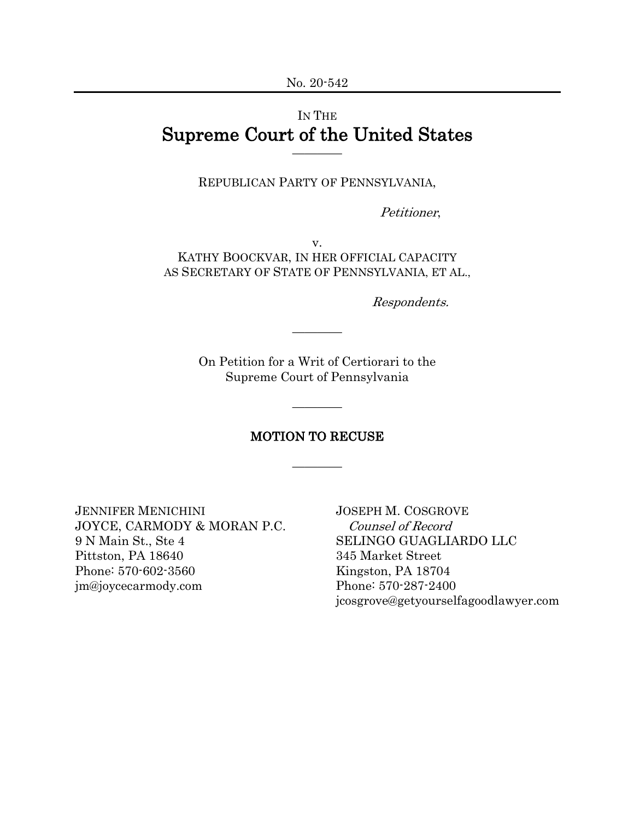# IN THE Supreme Court of the United States

REPUBLICAN PARTY OF PENNSYLVANIA,

Petitioner,

v. KATHY BOOCKVAR, IN HER OFFICIAL CAPACITY AS SECRETARY OF STATE OF PENNSYLVANIA, ET AL.,

Respondents.

On Petition for a Writ of Certiorari to the Supreme Court of Pennsylvania

————

#### MOTION TO RECUSE

————

————

JENNIFER MENICHINI JOSEPH M. COSGROVE JOYCE, CARMODY & MORAN P.C. Counsel of Record 9 N Main St., Ste 4 SELINGO GUAGLIARDO LLC Pittston, PA 18640 345 Market Street Phone: 570-602-3560 Kingston, PA 18704 jm@joycecarmody.com Phone: 570-287-2400

jcosgrove@getyourselfagoodlawyer.com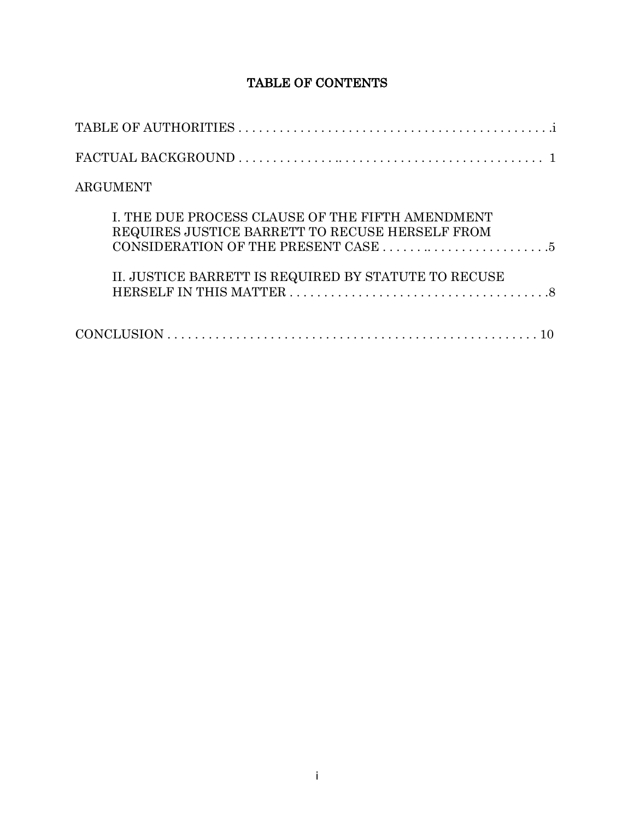# TABLE OF CONTENTS

| ARGUMENT                                                                                            |
|-----------------------------------------------------------------------------------------------------|
| I. THE DUE PROCESS CLAUSE OF THE FIFTH AMENDMENT<br>REQUIRES JUSTICE BARRETT TO RECUSE HERSELF FROM |
| II. JUSTICE BARRETT IS REQUIRED BY STATUTE TO RECUSE                                                |
|                                                                                                     |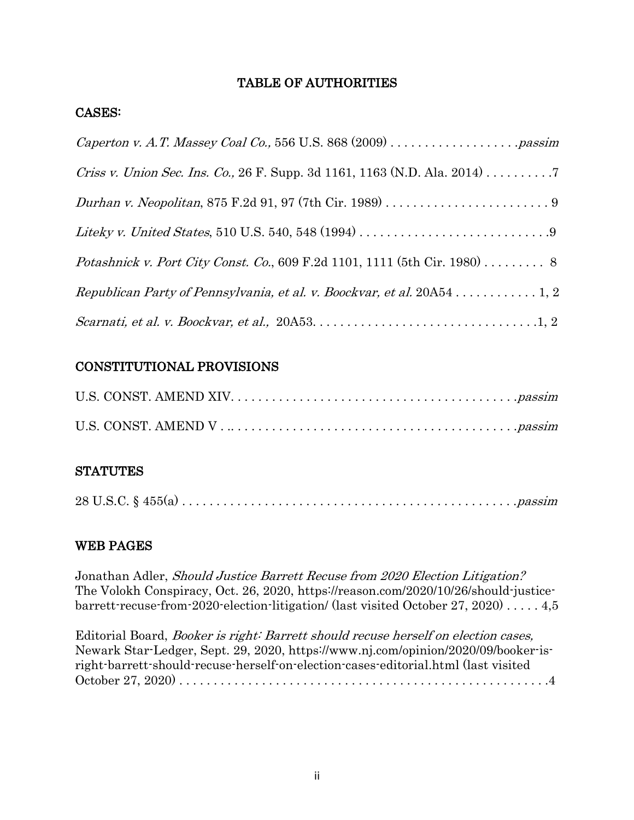# TABLE OF AUTHORITIES

### CASES:

| <i>Criss v. Union Sec. Ins. Co.</i> , 26 F. Supp. 3d 1161, 1163 (N.D. Ala. 2014) 7 |
|------------------------------------------------------------------------------------|
|                                                                                    |
|                                                                                    |
| <i>Potashnick v. Port City Const. Co.</i> , 609 F.2d 1101, 1111 (5th Cir. 1980) 8  |
|                                                                                    |
|                                                                                    |

# CONSTITUTIONAL PROVISIONS

# **STATUTES**

|--|

# WEB PAGES

Jonathan Adler, Should Justice Barrett Recuse from 2020 Election Litigation? The Volokh Conspiracy, Oct. 26, 2020, https://reason.com/2020/10/26/should-justicebarrett-recuse-from-2020-election-litigation/ (last visited October 27, 2020) . . . . . 4,5

Editorial Board, Booker is right: Barrett should recuse herself on election cases, Newark Star-Ledger, Sept. 29, 2020, https://www.nj.com/opinion/2020/09/booker-isright-barrett-should-recuse-herself-on-election-cases-editorial.html (last visited October 27, 2020) . . . . . . . . . . . . . . . . . . . . . . . . . . . . . . . . . . . . . . . . . . . . . . . . . . . . . .4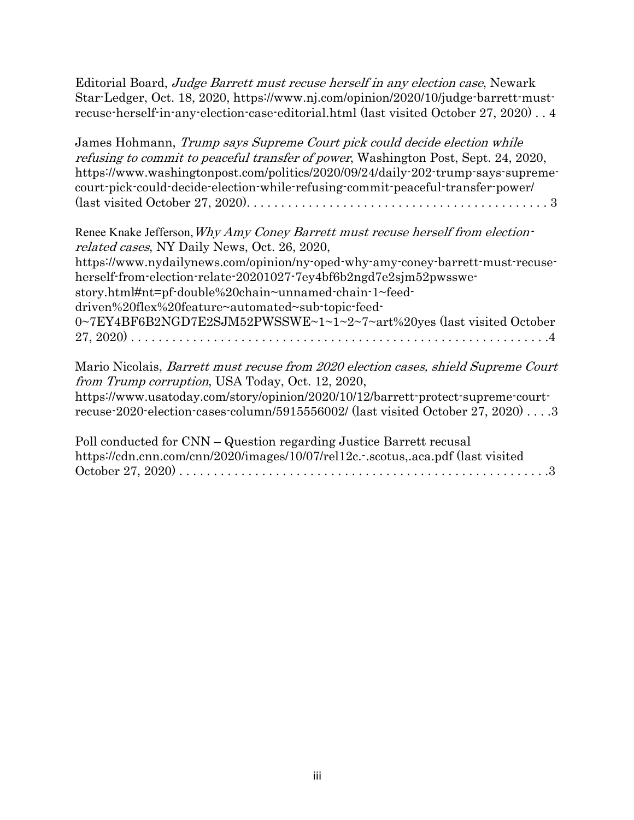Editorial Board, Judge Barrett must recuse herself in any election case, Newark Star-Ledger, Oct. 18, 2020, https://www.nj.com/opinion/2020/10/judge-barrett-mustrecuse-herself-in-any-election-case-editorial.html (last visited October 27, 2020) . . 4

James Hohmann, Trump says Supreme Court pick could decide election while refusing to commit to peaceful transfer of power, Washington Post, Sept. 24, 2020, https://www.washingtonpost.com/politics/2020/09/24/daily-202-trump-says-supremecourt-pick-could-decide-election-while-refusing-commit-peaceful-transfer-power/ (last visited October 27, 2020). . . . . . . . . . . . . . . . . . . . . . . . . . . . . . . . . . . . . . . . . . . . 3

| Renee Knake Jefferson, Why Amy Coney Barrett must recuse herself from election- |
|---------------------------------------------------------------------------------|
| <i>related cases, NY Daily News, Oct. 26, 2020,</i>                             |
| https://www.nydailynews.com/opinion/ny-oped-why-amy-coney-barrett-must-recuse-  |
| herself-from-election-relate-20201027-7ey4bf6b2ngd7e2sjm52pwsswe-               |
| story.html#nt=pf-double%20chain~unnamed-chain-1~feed-                           |
| driven%20flex%20feature~automated~sub-topic-feed-                               |
| 0~7EY4BF6B2NGD7E2SJM52PWSSWE~1~1~2~7~art%20yes (last visited October            |
|                                                                                 |

Mario Nicolais, Barrett must recuse from 2020 election cases, shield Supreme Court from Trump corruption, USA Today, Oct. 12, 2020, https://www.usatoday.com/story/opinion/2020/10/12/barrett-protect-supreme-courtrecuse-2020-election-cases-column/5915556002/ (last visited October 27, 2020) . . . .3

| Poll conducted for CNN – Question regarding Justice Barrett recusal            |
|--------------------------------------------------------------------------------|
| https://cdn.cnn.com/cnn/2020/images/10/07/rel12c.-.scotusaca.pdf (last visited |
|                                                                                |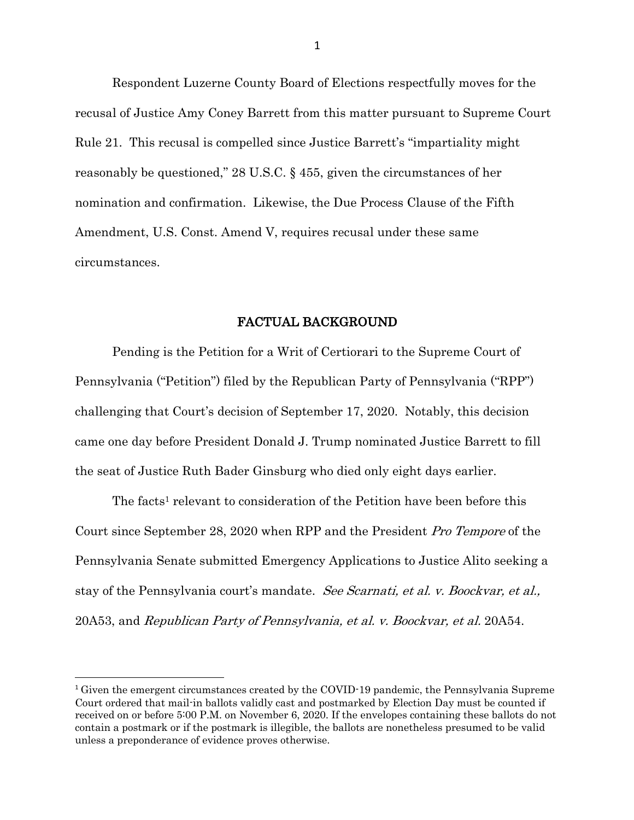Respondent Luzerne County Board of Elections respectfully moves for the recusal of Justice Amy Coney Barrett from this matter pursuant to Supreme Court Rule 21. This recusal is compelled since Justice Barrett's "impartiality might reasonably be questioned," 28 U.S.C. § 455, given the circumstances of her nomination and confirmation. Likewise, the Due Process Clause of the Fifth Amendment, U.S. Const. Amend V, requires recusal under these same circumstances.

#### FACTUAL BACKGROUND

Pending is the Petition for a Writ of Certiorari to the Supreme Court of Pennsylvania ("Petition") filed by the Republican Party of Pennsylvania ("RPP") challenging that Court's decision of September 17, 2020. Notably, this decision came one day before President Donald J. Trump nominated Justice Barrett to fill the seat of Justice Ruth Bader Ginsburg who died only eight days earlier.

The facts<sup>1</sup> relevant to consideration of the Petition have been before this Court since September 28, 2020 when RPP and the President Pro Tempore of the Pennsylvania Senate submitted Emergency Applications to Justice Alito seeking a stay of the Pennsylvania court's mandate. See Scarnati, et al. v. Boockvar, et al., 20A53, and Republican Party of Pennsylvania, et al. v. Boockvar, et al. 20A54.

<sup>&</sup>lt;sup>1</sup> Given the emergent circumstances created by the COVID-19 pandemic, the Pennsylvania Supreme Court ordered that mail-in ballots validly cast and postmarked by Election Day must be counted if received on or before 5:00 P.M. on November 6, 2020. If the envelopes containing these ballots do not contain a postmark or if the postmark is illegible, the ballots are nonetheless presumed to be valid unless a preponderance of evidence proves otherwise.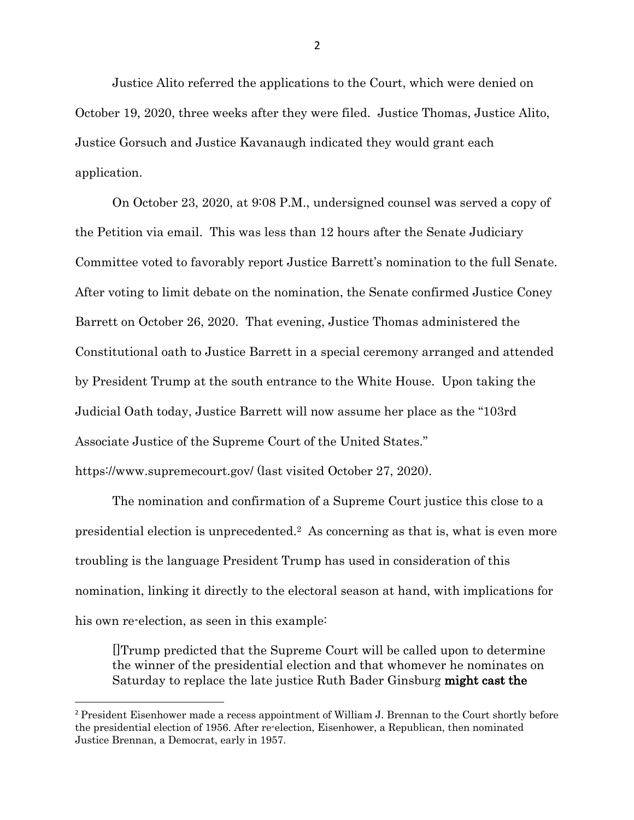Justice Alito referred the applications to the Court, which were denied on October 19, 2020, three weeks after they were filed. Justice Thomas, Justice Alito, Justice Gorsuch and Justice Kavanaugh indicated they would grant each application.

On October 23, 2020, at 9:08 P.M., undersigned counsel was served a copy of the Petition via email. This was less than 12 hours after the Senate Judiciary Committee voted to favorably report Justice Barrett's nomination to the full Senate. After voting to limit debate on the nomination, the Senate confirmed Justice Coney Barrett on October 26, 2020. That evening, Justice Thomas administered the Constitutional oath to Justice Barrett in a special ceremony arranged and attended by President Trump at the south entrance to the White House. Upon taking the Judicial Oath today, Justice Barrett will now assume her place as the "103rd Associate Justice of the Supreme Court of the United States." https://www.supremecourt.gov/ (last visited October 27, 2020).

The nomination and confirmation of a Supreme Court justice this close to a presidential election is unprecedented.2 As concerning as that is, what is even more troubling is the language President Trump has used in consideration of this nomination, linking it directly to the electoral season at hand, with implications for his own re-election, as seen in this example:

[]Trump predicted that the Supreme Court will be called upon to determine the winner of the presidential election and that whomever he nominates on Saturday to replace the late justice Ruth Bader Ginsburg might cast the

2

<sup>&</sup>lt;sup>2</sup> President Eisenhower made a recess appointment of William J. Brennan to the Court shortly before the presidential election of 1956. After re-election, Eisenhower, a Republican, then nominated Justice Brennan, a Democrat, early in 1957.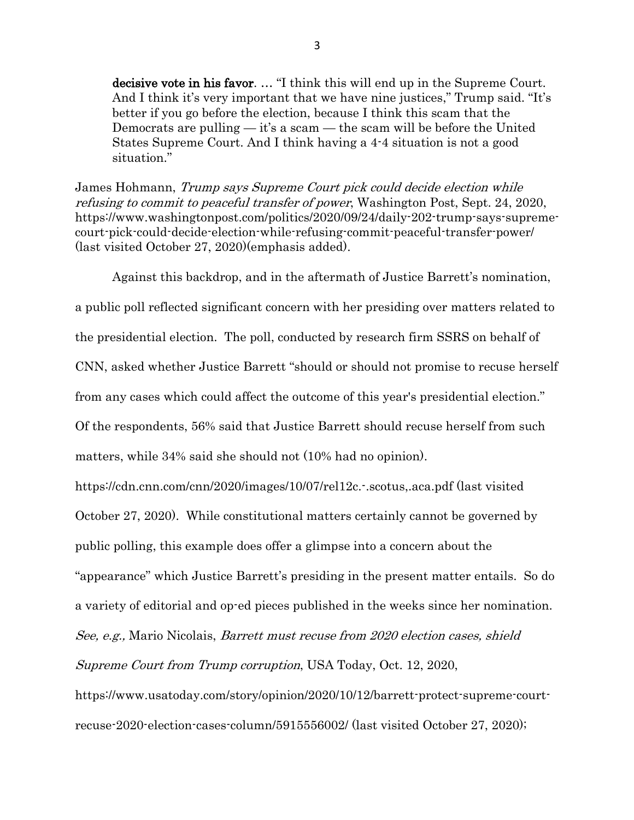decisive vote in his favor. … "I think this will end up in the Supreme Court. And I think it's very important that we have nine justices," Trump said. "It's better if you go before the election, because I think this scam that the Democrats are pulling  $-$  it's a scam  $-$  the scam will be before the United States Supreme Court. And I think having a 4-4 situation is not a good situation."

James Hohmann, Trump says Supreme Court pick could decide election while refusing to commit to peaceful transfer of power, Washington Post, Sept. 24, 2020, https://www.washingtonpost.com/politics/2020/09/24/daily-202-trump-says-supremecourt-pick-could-decide-election-while-refusing-commit-peaceful-transfer-power/ (last visited October 27, 2020)(emphasis added).

Against this backdrop, and in the aftermath of Justice Barrett's nomination, a public poll reflected significant concern with her presiding over matters related to the presidential election. The poll, conducted by research firm SSRS on behalf of CNN, asked whether Justice Barrett "should or should not promise to recuse herself from any cases which could affect the outcome of this year's presidential election." Of the respondents, 56% said that Justice Barrett should recuse herself from such matters, while 34% said she should not (10% had no opinion).

https://cdn.cnn.com/cnn/2020/images/10/07/rel12c.-.scotus,.aca.pdf (last visited October 27, 2020). While constitutional matters certainly cannot be governed by public polling, this example does offer a glimpse into a concern about the "appearance" which Justice Barrett's presiding in the present matter entails. So do a variety of editorial and op-ed pieces published in the weeks since her nomination. See, e.g., Mario Nicolais, Barrett must recuse from 2020 election cases, shield Supreme Court from Trump corruption, USA Today, Oct. 12, 2020,

https://www.usatoday.com/story/opinion/2020/10/12/barrett-protect-supreme-courtrecuse-2020-election-cases-column/5915556002/ (last visited October 27, 2020);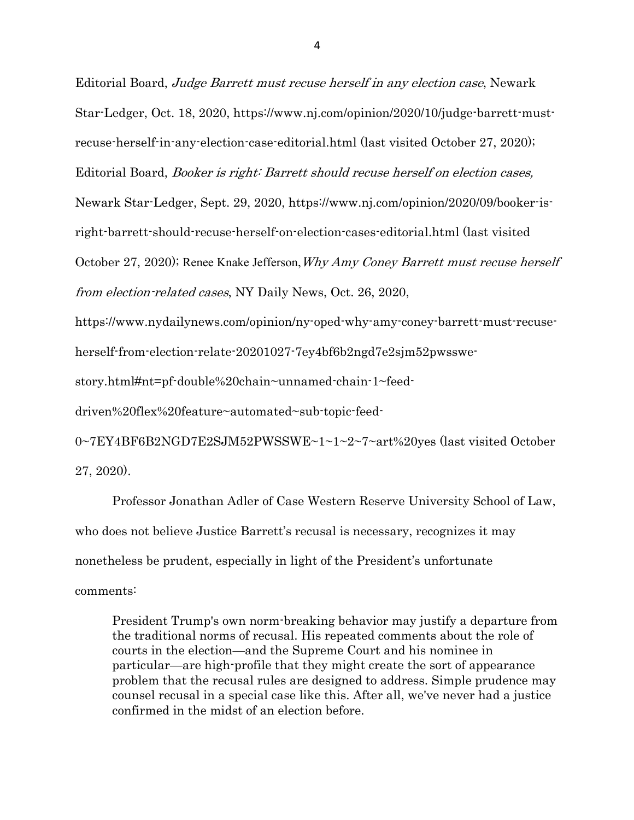Editorial Board, Judge Barrett must recuse herself in any election case, Newark Star-Ledger, Oct. 18, 2020, https://www.nj.com/opinion/2020/10/judge-barrett-mustrecuse-herself-in-any-election-case-editorial.html (last visited October 27, 2020); Editorial Board, Booker is right: Barrett should recuse herself on election cases, Newark Star-Ledger, Sept. 29, 2020, https://www.nj.com/opinion/2020/09/booker-isright-barrett-should-recuse-herself-on-election-cases-editorial.html (last visited October 27, 2020); Renee Knake Jefferson, Why Amy Coney Barrett must recuse herself from election-related cases, NY Daily News, Oct. 26, 2020,

https://www.nydailynews.com/opinion/ny-oped-why-amy-coney-barrett-must-recuse-

herself-from-election-relate-20201027-7ey4bf6b2ngd7e2sjm52pwsswe-

story.html#nt=pf-double%20chain~unnamed-chain-1~feed-

driven%20flex%20feature~automated~sub-topic-feed-

0~7EY4BF6B2NGD7E2SJM52PWSSWE~1~1~2~7~art%20yes (last visited October 27, 2020).

Professor Jonathan Adler of Case Western Reserve University School of Law, who does not believe Justice Barrett's recusal is necessary, recognizes it may nonetheless be prudent, especially in light of the President's unfortunate comments:

President Trump's own norm-breaking behavior may justify a departure from the traditional norms of recusal. His repeated comments about the role of courts in the election—and the Supreme Court and his nominee in particular—are high-profile that they might create the sort of appearance problem that the recusal rules are designed to address. Simple prudence may counsel recusal in a special case like this. After all, we've never had a justice confirmed in the midst of an election before.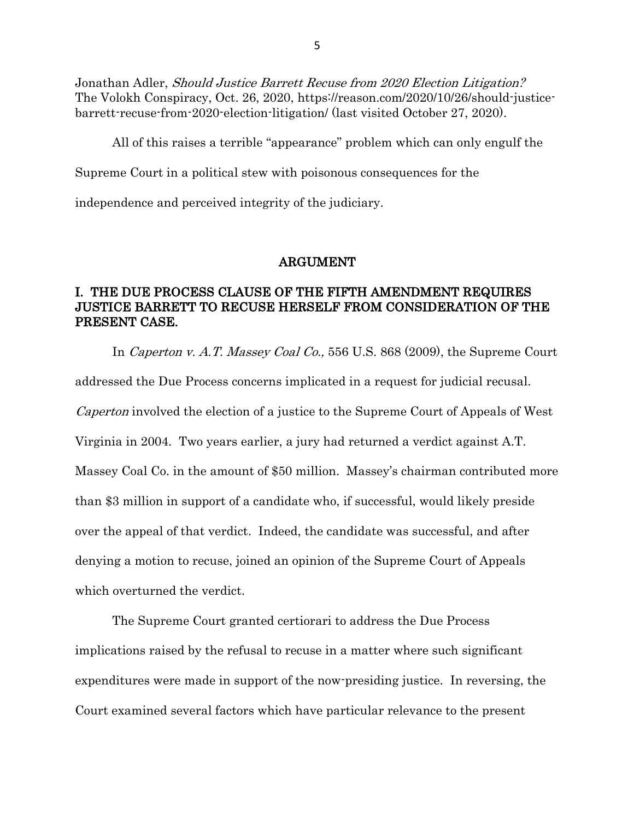Jonathan Adler, Should Justice Barrett Recuse from 2020 Election Litigation? The Volokh Conspiracy, Oct. 26, 2020, https://reason.com/2020/10/26/should-justicebarrett-recuse-from-2020-election-litigation/ (last visited October 27, 2020).

All of this raises a terrible "appearance" problem which can only engulf the Supreme Court in a political stew with poisonous consequences for the

independence and perceived integrity of the judiciary.

#### ARGUMENT

#### I. THE DUE PROCESS CLAUSE OF THE FIFTH AMENDMENT REQUIRES JUSTICE BARRETT TO RECUSE HERSELF FROM CONSIDERATION OF THE PRESENT CASE.

In *Caperton v. A.T. Massey Coal Co.*, 556 U.S. 868 (2009), the Supreme Court addressed the Due Process concerns implicated in a request for judicial recusal. Caperton involved the election of a justice to the Supreme Court of Appeals of West Virginia in 2004. Two years earlier, a jury had returned a verdict against A.T. Massey Coal Co. in the amount of \$50 million. Massey's chairman contributed more than \$3 million in support of a candidate who, if successful, would likely preside over the appeal of that verdict. Indeed, the candidate was successful, and after denying a motion to recuse, joined an opinion of the Supreme Court of Appeals which overturned the verdict.

The Supreme Court granted certiorari to address the Due Process implications raised by the refusal to recuse in a matter where such significant expenditures were made in support of the now-presiding justice. In reversing, the Court examined several factors which have particular relevance to the present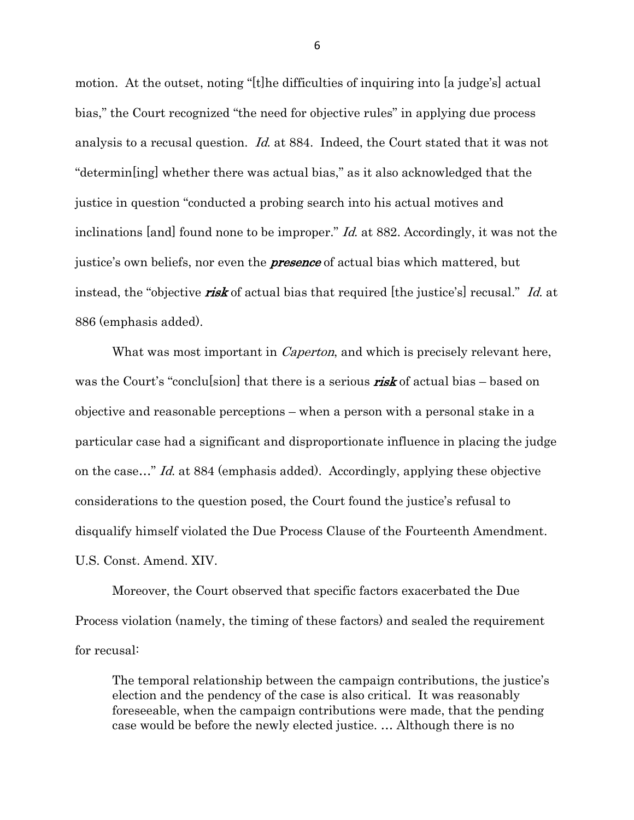motion. At the outset, noting "[t]he difficulties of inquiring into [a judge's] actual bias," the Court recognized "the need for objective rules" in applying due process analysis to a recusal question. Id. at 884. Indeed, the Court stated that it was not "determin[ing] whether there was actual bias," as it also acknowledged that the justice in question "conducted a probing search into his actual motives and inclinations [and] found none to be improper." *Id.* at 882. Accordingly, it was not the justice's own beliefs, nor even the **presence** of actual bias which mattered, but instead, the "objective **risk** of actual bias that required [the justice's] recusal." Id. at 886 (emphasis added).

What was most important in *Caperton*, and which is precisely relevant here, was the Court's "conclusion" that there is a serious  $\textit{risk}$  of actual bias – based on objective and reasonable perceptions – when a person with a personal stake in a particular case had a significant and disproportionate influence in placing the judge on the case…" Id. at 884 (emphasis added). Accordingly, applying these objective considerations to the question posed, the Court found the justice's refusal to disqualify himself violated the Due Process Clause of the Fourteenth Amendment. U.S. Const. Amend. XIV.

Moreover, the Court observed that specific factors exacerbated the Due Process violation (namely, the timing of these factors) and sealed the requirement for recusal:

The temporal relationship between the campaign contributions, the justice's election and the pendency of the case is also critical. It was reasonably foreseeable, when the campaign contributions were made, that the pending case would be before the newly elected justice. … Although there is no

6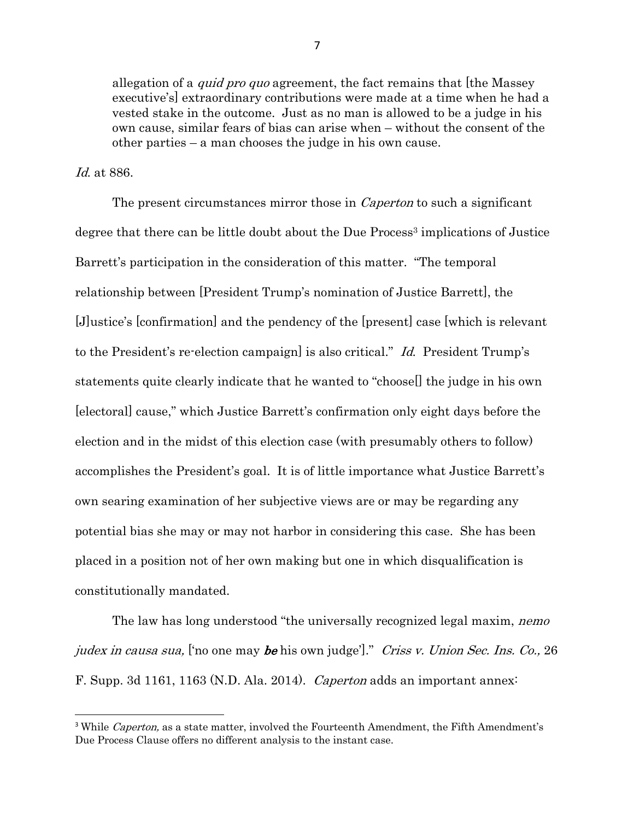allegation of a *quid pro quo* agreement, the fact remains that [the Massey executive's] extraordinary contributions were made at a time when he had a vested stake in the outcome. Just as no man is allowed to be a judge in his own cause, similar fears of bias can arise when – without the consent of the other parties – a man chooses the judge in his own cause.

Id. at 886.

The present circumstances mirror those in *Caperton* to such a significant degree that there can be little doubt about the Due Process<sup>3</sup> implications of Justice Barrett's participation in the consideration of this matter. "The temporal relationship between [President Trump's nomination of Justice Barrett], the [J]ustice's [confirmation] and the pendency of the [present] case [which is relevant to the President's re-election campaign] is also critical." Id. President Trump's statements quite clearly indicate that he wanted to "choose[] the judge in his own [electoral] cause," which Justice Barrett's confirmation only eight days before the election and in the midst of this election case (with presumably others to follow) accomplishes the President's goal. It is of little importance what Justice Barrett's own searing examination of her subjective views are or may be regarding any potential bias she may or may not harbor in considering this case. She has been placed in a position not of her own making but one in which disqualification is constitutionally mandated.

The law has long understood "the universally recognized legal maxim, *nemo* judex in causa sua, ['no one may be his own judge']." Criss v. Union Sec. Ins. Co., 26 F. Supp. 3d 1161, 1163 (N.D. Ala. 2014). Caperton adds an important annex:

<sup>&</sup>lt;sup>3</sup> While *Caperton*, as a state matter, involved the Fourteenth Amendment, the Fifth Amendment's Due Process Clause offers no different analysis to the instant case.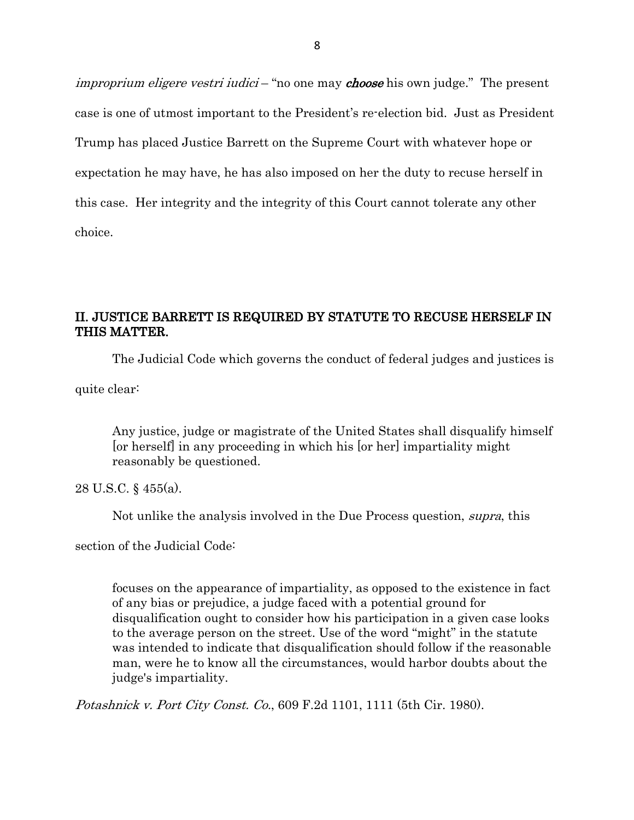*improprium eligere vestri iudici* – "no one may *choose* his own judge." The present case is one of utmost important to the President's re-election bid. Just as President Trump has placed Justice Barrett on the Supreme Court with whatever hope or expectation he may have, he has also imposed on her the duty to recuse herself in this case. Her integrity and the integrity of this Court cannot tolerate any other choice.

### II. JUSTICE BARRETT IS REQUIRED BY STATUTE TO RECUSE HERSELF IN THIS MATTER.

The Judicial Code which governs the conduct of federal judges and justices is

quite clear:

Any justice, judge or magistrate of the United States shall disqualify himself [or herself] in any proceeding in which his [or her] impartiality might reasonably be questioned.

28 U.S.C. § 455(a).

Not unlike the analysis involved in the Due Process question, supra, this

section of the Judicial Code:

focuses on the appearance of impartiality, as opposed to the existence in fact of any bias or prejudice, a judge faced with a potential ground for disqualification ought to consider how his participation in a given case looks to the average person on the street. Use of the word "might" in the statute was intended to indicate that disqualification should follow if the reasonable man, were he to know all the circumstances, would harbor doubts about the judge's impartiality.

Potashnick v. Port City Const. Co., 609 F.2d 1101, 1111 (5th Cir. 1980).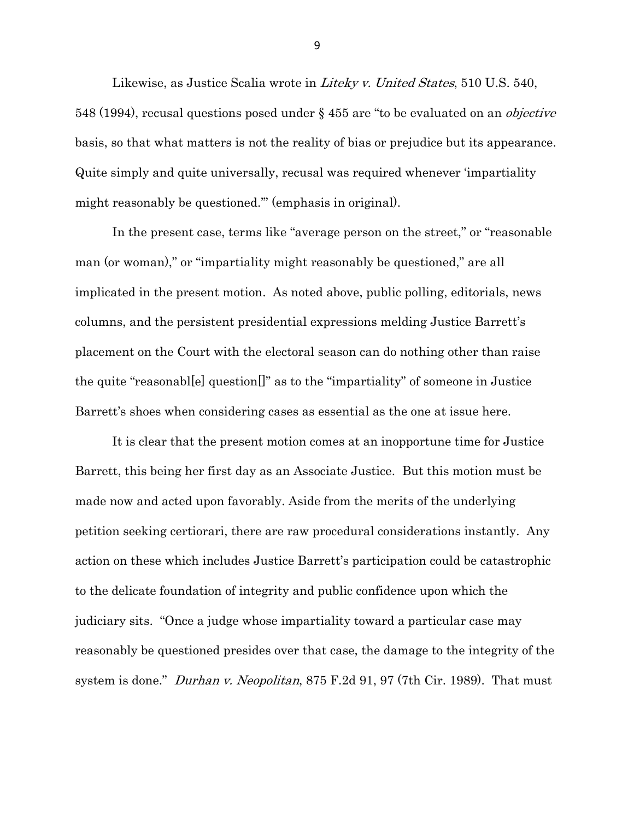Likewise, as Justice Scalia wrote in *Liteky v. United States*, 510 U.S. 540, 548 (1994), recusal questions posed under § 455 are "to be evaluated on an objective basis, so that what matters is not the reality of bias or prejudice but its appearance. Quite simply and quite universally, recusal was required whenever 'impartiality might reasonably be questioned.'" (emphasis in original).

In the present case, terms like "average person on the street," or "reasonable man (or woman)," or "impartiality might reasonably be questioned," are all implicated in the present motion. As noted above, public polling, editorials, news columns, and the persistent presidential expressions melding Justice Barrett's placement on the Court with the electoral season can do nothing other than raise the quite "reasonabl[e] question[]" as to the "impartiality" of someone in Justice Barrett's shoes when considering cases as essential as the one at issue here.

It is clear that the present motion comes at an inopportune time for Justice Barrett, this being her first day as an Associate Justice. But this motion must be made now and acted upon favorably. Aside from the merits of the underlying petition seeking certiorari, there are raw procedural considerations instantly. Any action on these which includes Justice Barrett's participation could be catastrophic to the delicate foundation of integrity and public confidence upon which the judiciary sits. "Once a judge whose impartiality toward a particular case may reasonably be questioned presides over that case, the damage to the integrity of the system is done." *Durhan v. Neopolitan*, 875 F.2d 91, 97 (7th Cir. 1989). That must

9